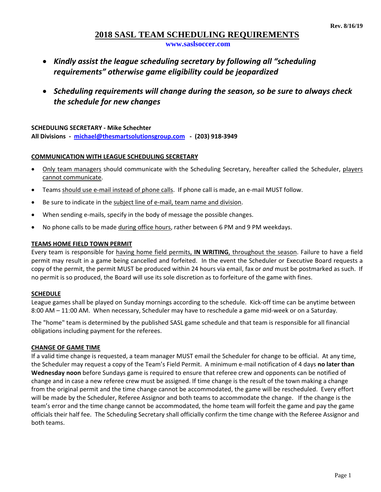## **2018 SASL TEAM SCHEDULING REQUIREMENTS**

**www.saslsoccer.com**

- *Kindly assist the league scheduling secretary by following all "scheduling requirements" otherwise game eligibility could be jeopardized*
- *Scheduling requirements will change during the season, so be sure to always check the schedule for new changes*

**SCHEDULING SECRETARY ‐ Mike Schechter All Divisions ‐ michael@thesmartsolutionsgroup.com ‐ (203) 918‐3949**

### **COMMUNICATION WITH LEAGUE SCHEDULING SECRETARY**

- Only team managers should communicate with the Scheduling Secretary, hereafter called the Scheduler, players cannot communicate.
- Teams should use e-mail instead of phone calls. If phone call is made, an e-mail MUST follow.
- Be sure to indicate in the subject line of e-mail, team name and division.
- When sending e-mails, specify in the body of message the possible changes.
- No phone calls to be made during office hours, rather between 6 PM and 9 PM weekdays.

### **TEAMS HOME FIELD TOWN PERMIT**

Every team is responsible for having home field permits, **IN WRITING**, throughout the season. Failure to have a field permit may result in a game being cancelled and forfeited. In the event the Scheduler or Executive Board requests a copy of the permit, the permit MUST be produced within 24 hours via email, fax or *and* must be postmarked as such. If no permit is so produced, the Board will use its sole discretion as to forfeiture of the game with fines.

### **SCHEDULE**

League games shall be played on Sunday mornings according to the schedule. Kick-off time can be anytime between 8:00 AM – 11:00 AM. When necessary, Scheduler may have to reschedule a game mid-week or on a Saturday.

The "home" team is determined by the published SASL game schedule and that team is responsible for all financial obligations including payment for the referees.

### **CHANGE OF GAME TIME**

If a valid time change is requested, a team manager MUST email the Scheduler for change to be official. At any time, the Scheduler may request a copy of the Team's Field Permit. A minimum e‐mail notification of 4 days **no later than Wednesday noon** before Sundays game is required to ensure that referee crew and opponents can be notified of change and in case a new referee crew must be assigned. If time change is the result of the town making a change from the original permit and the time change cannot be accommodated, the game will be rescheduled. Every effort will be made by the Scheduler, Referee Assignor and both teams to accommodate the change. If the change is the team's error and the time change cannot be accommodated, the home team will forfeit the game and pay the game officials their half fee. The Scheduling Secretary shall officially confirm the time change with the Referee Assignor and both teams.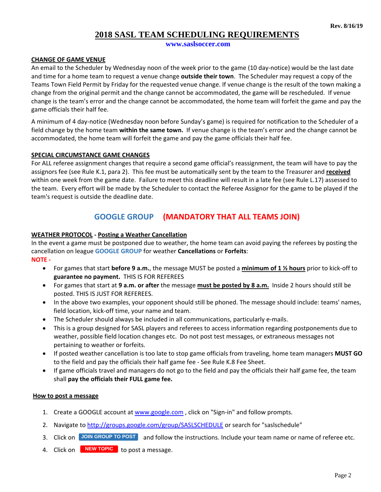# **2018 SASL TEAM SCHEDULING REQUIREMENTS**

**www.saslsoccer.com**

### **CHANGE OF GAME VENUE**

An email to the Scheduler by Wednesday noon of the week prior to the game (10 day‐notice) would be the last date and time for a home team to request a venue change **outside their town**. The Scheduler may request a copy of the Teams Town Field Permit by Friday for the requested venue change. If venue change is the result of the town making a change from the original permit and the change cannot be accommodated, the game will be rescheduled. If venue change is the team's error and the change cannot be accommodated, the home team will forfeit the game and pay the game officials their half fee.

A minimum of 4 day‐notice (Wednesday noon before Sunday's game) is required for notification to the Scheduler of a field change by the home team **within the same town.** If venue change is the team's error and the change cannot be accommodated, the home team will forfeit the game and pay the game officials their half fee.

### **SPECIAL CIRCUMSTANCE GAME CHANGES**

For ALL referee assignment changes that require a second game official's reassignment, the team will have to pay the assignors fee (see Rule K.1, para 2). This fee must be automatically sent by the team to the Treasurer and **received** within one week from the game date. Failure to meet this deadline will result in a late fee (see Rule L.17) assessed to the team. Every effort will be made by the Scheduler to contact the Referee Assignor for the game to be played if the team's request is outside the deadline date.

# **GOOGLE GROUP (MANDATORY THAT ALL TEAMS JOIN)**

### **WEATHER PROTOCOL ‐ Posting a Weather Cancellation**

In the event a game must be postponed due to weather, the home team can avoid paying the referees by posting the cancellation on league **GOOGLE GROUP** for weather **Cancellations** or **Forfeits**: **NOTE ‐**

- For games that start **before 9 a.m.**, the message MUST be posted a **minimum of 1 ½ hours** prior to kick‐off to **guarantee no payment.** THIS IS FOR REFEREES
- For games that start at **9 a.m. or after** the message **must be posted by 8 a.m.** Inside 2 hours should still be posted. THIS IS JUST FOR REFEREES.
- In the above two examples, your opponent should still be phoned. The message should include: teams' names, field location, kick‐off time, your name and team.
- The Scheduler should always be included in all communications, particularly e-mails.
- This is a group designed for SASL players and referees to access information regarding postponements due to weather, possible field location changes etc. Do not post test messages, or extraneous messages not pertaining to weather or forfeits.
- If posted weather cancellation is too late to stop game officials from traveling, home team managers **MUST GO** to the field and pay the officials their half game fee ‐ See Rule K.8 Fee Sheet.
- If game officials travel and managers do not go to the field and pay the officials their half game fee, the team shall **pay the officials their FULL game fee.**

### **How to post a message**

- 1. Create a GOOGLE account at www.google.com, click on "Sign-in" and follow prompts.
- 2. Navigate to http://groups.google.com/group/SASLSCHEDULE or search for "saslschedule"
- 3. Click on **JOIN GROUP TO POST** and follow the instructions. Include your team name or name of referee etc.
- 4. Click on **NEW TOPIC** to post a message.